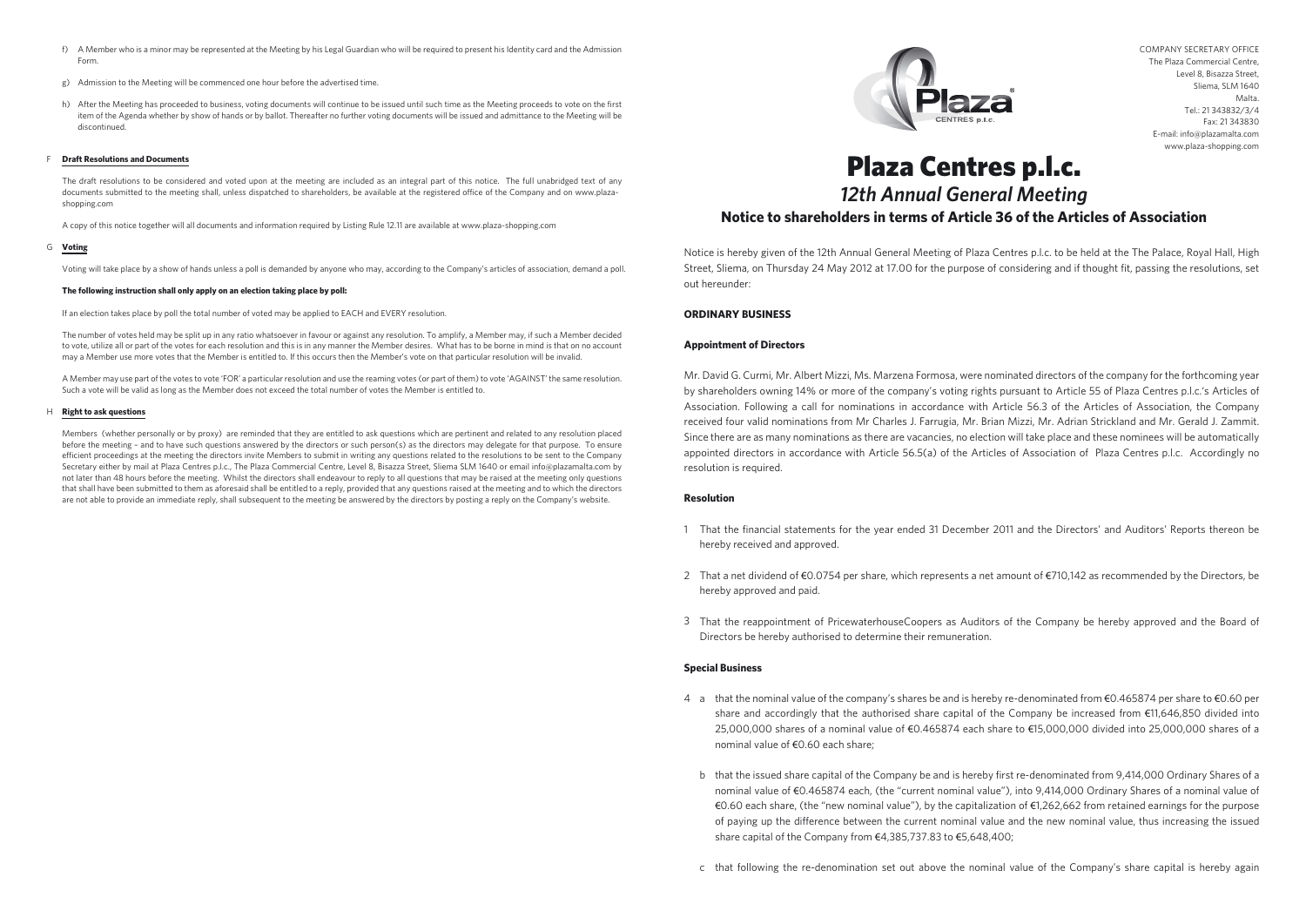COMPANY SECRETARY OFFICE The Plaza Commercial Centre, Level 8, Bisazza Street, Sliema, SLM 1640 Malta. Tel.: 21 343832/3/4 Fax: 21 343830 E-mail: info@plazamalta.com www.plaza-shopping.com

# Plaza Centres p.l.c. *12th Annual General Meeting* **Notice to shareholders in terms of Article 36 of the Articles of Association**

Notice is hereby given of the 12th Annual General Meeting of Plaza Centres p.l.c. to be held at the The Palace, Royal Hall, High Street, Sliema, on Thursday 24 May 2012 at 17.00 for the purpose of considering and if thought fit, passing the resolutions, set out hereunder:

#### **ORDINARY BUSINESS**

#### **Appointment of Directors**

- 1 That the financial statements for the year ended 31 December 2011 and the Directors' and Auditors' Reports thereon be hereby received and approved.
- 2 That a net dividend of €0.0754 per share, which represents a net amount of €710,142 as recommended by the Directors, be hereby approved and paid.
- 3 That the reappointment of PricewaterhouseCoopers as Auditors of the Company be hereby approved and the Board of Directors be hereby authorised to determine their remuneration.

Mr. David G. Curmi, Mr. Albert Mizzi, Ms. Marzena Formosa, were nominated directors of the company for the forthcoming year by shareholders owning 14% or more of the company's voting rights pursuant to Article 55 of Plaza Centres p.l.c.'s Articles of Association. Following a call for nominations in accordance with Article 56.3 of the Articles of Association, the Company received four valid nominations from Mr Charles J. Farrugia, Mr. Brian Mizzi, Mr. Adrian Strickland and Mr. Gerald J. Zammit. Since there are as many nominations as there are vacancies, no election will take place and these nominees will be automatically appointed directors in accordance with Article 56.5(a) of the Articles of Association of Plaza Centres p.l.c. Accordingly no resolution is required.

#### **Resolution**

- 4 a that the nominal value of the company's shares be and is hereby re-denominated from €0.465874 per share to €0.60 per share and accordingly that the authorised share capital of the Company be increased from €11,646,850 divided into 25,000,000 shares of a nominal value of €0.465874 each share to €15,000,000 divided into 25,000,000 shares of a nominal value of €0.60 each share;
- b that the issued share capital of the Company be and is hereby first re-denominated from 9,414,000 Ordinary Shares of a nominal value of €0.465874 each, (the "current nominal value"), into 9,414,000 Ordinary Shares of a nominal value of of paying up the difference between the current nominal value and the new nominal value, thus increasing the issued share capital of the Company from €4,385,737.83 to €5,648,400;
- c that following the re-denomination set out above the nominal value of the Company's share capital is hereby again



### **Special Business**

- f) A Member who is a minor may be represented at the Meeting by his Legal Guardian who will be required to present his Identity card and the Admission Form.
- g) Admission to the Meeting will be commenced one hour before the advertised time.
- h) After the Meeting has proceeded to business, voting documents will continue to be issued until such time as the Meeting proceeds to vote on the first item of the Agenda whether by show of hands or by ballot. Thereafter no further voting documents will be issued and admittance to the Meeting will be discontinued.

#### F **Draft Resolutions and Documents**

€0.60 each share, (the "new nominal value"), by the capitalization of €1,262,662 from retained earnings for the purpose

#### G **Voting**

Members (whether personally or by proxy) are reminded that they are entitled to ask questions which are pertinent and related to any resolution placed before the meeting – and to have such questions answered by the directors or such person(s) as the directors may delegate for that purpose. To ensure efficient proceedings at the meeting the directors invite Members to submit in writing any questions related to the resolutions to be sent to the Company Secretary either by mail at Plaza Centres p.l.c., The Plaza Commercial Centre, Level 8, Bisazza Street, Sliema SLM 1640 or email info@plazamalta.com by not later than 48 hours before the meeting. Whilst the directors shall endeavour to reply to all questions that may be raised at the meeting only questions that shall have been submitted to them as aforesaid shall be entitled to a reply, provided that any questions raised at the meeting and to which the directors are not able to provide an immediate reply, shall subsequent to the meeting be answered by the directors by posting a reply on the Company's website.



#### H **Right to ask questions**

The draft resolutions to be considered and voted upon at the meeting are included as an integral part of this notice. The full unabridged text of any documents submitted to the meeting shall, unless dispatched to shareholders, be available at the registered office of the Company and on www.plazashopping.com

A copy of this notice together will all documents and information required by Listing Rule 12.11 are available at www.plaza-shopping.com

Voting will take place by a show of hands unless a poll is demanded by anyone who may, according to the Company's articles of association, demand a poll.

#### **The following instruction shall only apply on an election taking place by poll:**

If an election takes place by poll the total number of voted may be applied to EACH and EVERY resolution.

The number of votes held may be split up in any ratio whatsoever in favour or against any resolution. To amplify, a Member may, if such a Member decided to vote, utilize all or part of the votes for each resolution and this is in any manner the Member desires. What has to be borne in mind is that on no account may a Member use more votes that the Member is entitled to. If this occurs then the Member's vote on that particular resolution will be invalid.

A Member may use part of the votes to vote 'FOR' a particular resolution and use the reaming votes (or part of them) to vote 'AGAINST' the same resolution. Such a vote will be valid as long as the Member does not exceed the total number of votes the Member is entitled to.